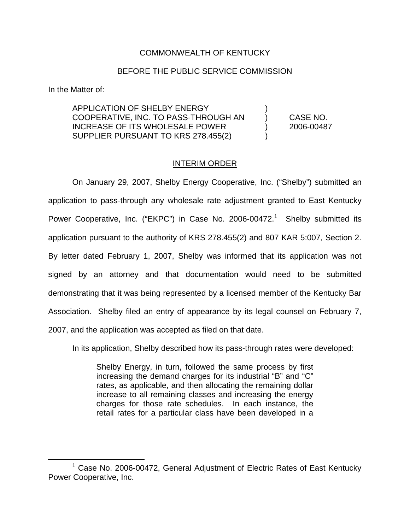## COMMONWEALTH OF KENTUCKY

## BEFORE THE PUBLIC SERVICE COMMISSION

In the Matter of:

APPLICATION OF SHELBY ENERGY COOPERATIVE, INC. TO PASS-THROUGH AN ) CASE NO. INCREASE OF ITS WHOLESALE POWER ) 2006-00487 SUPPLIER PURSUANT TO KRS 278.455(2)

## INTERIM ORDER

On January 29, 2007, Shelby Energy Cooperative, Inc. ("Shelby") submitted an application to pass-through any wholesale rate adjustment granted to East Kentucky Power Cooperative, Inc. ("EKPC") in Case No. 2006-00472. $<sup>1</sup>$  Shelby submitted its</sup> application pursuant to the authority of KRS 278.455(2) and 807 KAR 5:007, Section 2. By letter dated February 1, 2007, Shelby was informed that its application was not signed by an attorney and that documentation would need to be submitted demonstrating that it was being represented by a licensed member of the Kentucky Bar Association. Shelby filed an entry of appearance by its legal counsel on February 7, 2007, and the application was accepted as filed on that date.

In its application, Shelby described how its pass-through rates were developed:

Shelby Energy, in turn, followed the same process by first increasing the demand charges for its industrial "B" and "C" rates, as applicable, and then allocating the remaining dollar increase to all remaining classes and increasing the energy charges for those rate schedules. In each instance, the retail rates for a particular class have been developed in a

 $1$  Case No. 2006-00472, General Adjustment of Electric Rates of East Kentucky Power Cooperative, Inc.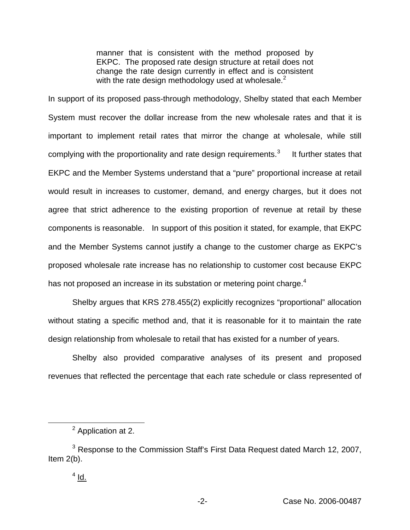manner that is consistent with the method proposed by EKPC. The proposed rate design structure at retail does not change the rate design currently in effect and is consistent with the rate design methodology used at wholesale. $<sup>2</sup>$ </sup>

In support of its proposed pass-through methodology, Shelby stated that each Member System must recover the dollar increase from the new wholesale rates and that it is important to implement retail rates that mirror the change at wholesale, while still complying with the proportionality and rate design requirements. $3$  It further states that EKPC and the Member Systems understand that a "pure" proportional increase at retail would result in increases to customer, demand, and energy charges, but it does not agree that strict adherence to the existing proportion of revenue at retail by these components is reasonable. In support of this position it stated, for example, that EKPC and the Member Systems cannot justify a change to the customer charge as EKPC's proposed wholesale rate increase has no relationship to customer cost because EKPC has not proposed an increase in its substation or metering point charge.<sup>4</sup>

Shelby argues that KRS 278.455(2) explicitly recognizes "proportional" allocation without stating a specific method and, that it is reasonable for it to maintain the rate design relationship from wholesale to retail that has existed for a number of years.

Shelby also provided comparative analyses of its present and proposed revenues that reflected the percentage that each rate schedule or class represented of

<sup>2</sup> Application at 2.

<sup>&</sup>lt;sup>3</sup> Response to the Commission Staff's First Data Request dated March 12, 2007, Item 2(b).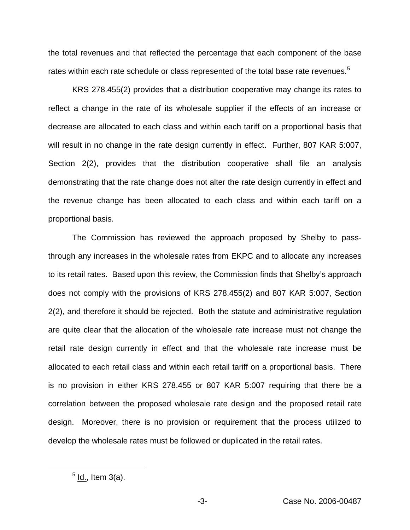the total revenues and that reflected the percentage that each component of the base rates within each rate schedule or class represented of the total base rate revenues.<sup>5</sup>

KRS 278.455(2) provides that a distribution cooperative may change its rates to reflect a change in the rate of its wholesale supplier if the effects of an increase or decrease are allocated to each class and within each tariff on a proportional basis that will result in no change in the rate design currently in effect. Further, 807 KAR 5:007, Section 2(2), provides that the distribution cooperative shall file an analysis demonstrating that the rate change does not alter the rate design currently in effect and the revenue change has been allocated to each class and within each tariff on a proportional basis.

The Commission has reviewed the approach proposed by Shelby to passthrough any increases in the wholesale rates from EKPC and to allocate any increases to its retail rates. Based upon this review, the Commission finds that Shelby's approach does not comply with the provisions of KRS 278.455(2) and 807 KAR 5:007, Section 2(2), and therefore it should be rejected. Both the statute and administrative regulation are quite clear that the allocation of the wholesale rate increase must not change the retail rate design currently in effect and that the wholesale rate increase must be allocated to each retail class and within each retail tariff on a proportional basis. There is no provision in either KRS 278.455 or 807 KAR 5:007 requiring that there be a correlation between the proposed wholesale rate design and the proposed retail rate design. Moreover, there is no provision or requirement that the process utilized to develop the wholesale rates must be followed or duplicated in the retail rates.

 $<sup>5</sup>$  ld., Item 3(a).</sup>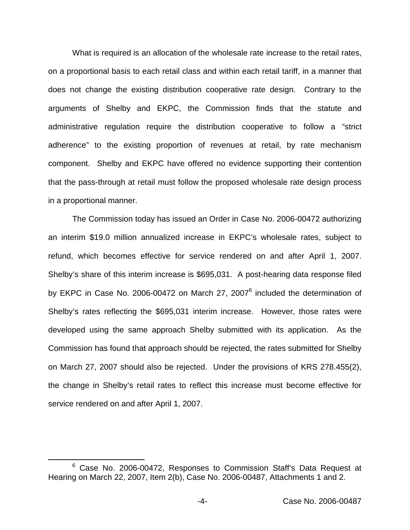What is required is an allocation of the wholesale rate increase to the retail rates, on a proportional basis to each retail class and within each retail tariff, in a manner that does not change the existing distribution cooperative rate design. Contrary to the arguments of Shelby and EKPC, the Commission finds that the statute and administrative regulation require the distribution cooperative to follow a "strict adherence" to the existing proportion of revenues at retail, by rate mechanism component. Shelby and EKPC have offered no evidence supporting their contention that the pass-through at retail must follow the proposed wholesale rate design process in a proportional manner.

The Commission today has issued an Order in Case No. 2006-00472 authorizing an interim \$19.0 million annualized increase in EKPC's wholesale rates, subject to refund, which becomes effective for service rendered on and after April 1, 2007. Shelby's share of this interim increase is \$695,031. A post-hearing data response filed by EKPC in Case No. 2006-00472 on March 27, 2007<sup>6</sup> included the determination of Shelby's rates reflecting the \$695,031 interim increase. However, those rates were developed using the same approach Shelby submitted with its application. As the Commission has found that approach should be rejected, the rates submitted for Shelby on March 27, 2007 should also be rejected. Under the provisions of KRS 278.455(2), the change in Shelby's retail rates to reflect this increase must become effective for service rendered on and after April 1, 2007.

<sup>&</sup>lt;sup>6</sup> Case No. 2006-00472, Responses to Commission Staff's Data Request at Hearing on March 22, 2007, Item 2(b), Case No. 2006-00487, Attachments 1 and 2.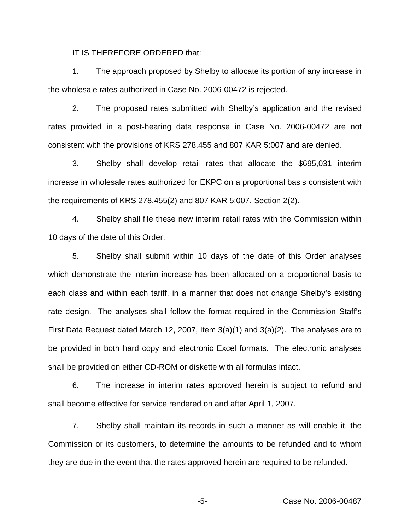IT IS THEREFORE ORDERED that:

1. The approach proposed by Shelby to allocate its portion of any increase in the wholesale rates authorized in Case No. 2006-00472 is rejected.

2. The proposed rates submitted with Shelby's application and the revised rates provided in a post-hearing data response in Case No. 2006-00472 are not consistent with the provisions of KRS 278.455 and 807 KAR 5:007 and are denied.

3. Shelby shall develop retail rates that allocate the \$695,031 interim increase in wholesale rates authorized for EKPC on a proportional basis consistent with the requirements of KRS 278.455(2) and 807 KAR 5:007, Section 2(2).

4. Shelby shall file these new interim retail rates with the Commission within 10 days of the date of this Order.

5. Shelby shall submit within 10 days of the date of this Order analyses which demonstrate the interim increase has been allocated on a proportional basis to each class and within each tariff, in a manner that does not change Shelby's existing rate design. The analyses shall follow the format required in the Commission Staff's First Data Request dated March 12, 2007, Item 3(a)(1) and 3(a)(2). The analyses are to be provided in both hard copy and electronic Excel formats. The electronic analyses shall be provided on either CD-ROM or diskette with all formulas intact.

6. The increase in interim rates approved herein is subject to refund and shall become effective for service rendered on and after April 1, 2007.

7. Shelby shall maintain its records in such a manner as will enable it, the Commission or its customers, to determine the amounts to be refunded and to whom they are due in the event that the rates approved herein are required to be refunded.